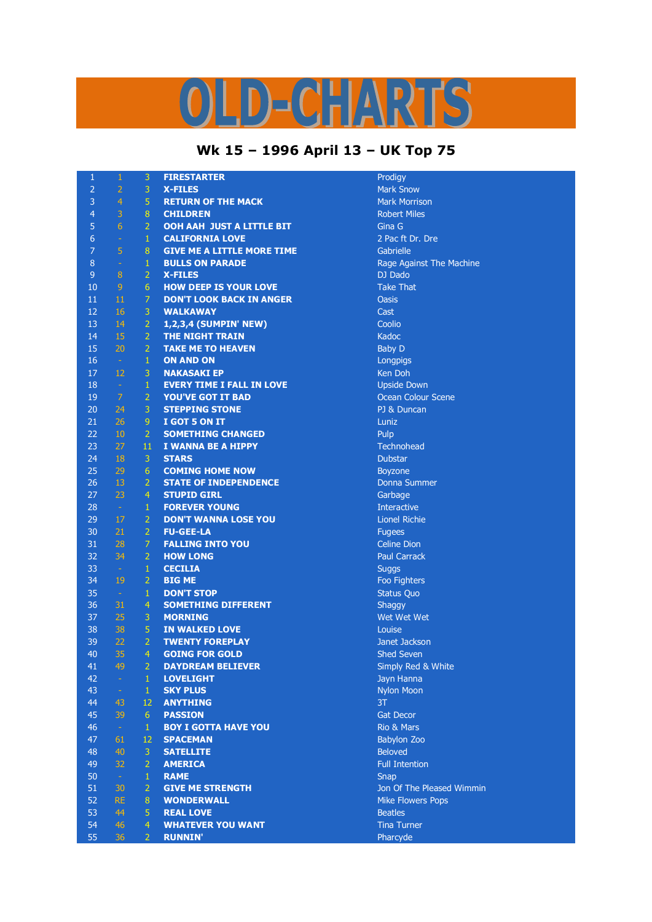## LD-CHARTS

## **Wk 15 – 1996 April 13 – UK Top 75**

| $\mathbf{1}$   | $\mathbf{1}$    | 3                | <b>FIRESTARTER</b>                            | Prodigy                        |
|----------------|-----------------|------------------|-----------------------------------------------|--------------------------------|
| $\overline{2}$ | $\overline{2}$  | 3                | <b>X-FILES</b>                                | <b>Mark Snow</b>               |
| 3              | $\overline{4}$  | 5                | <b>RETURN OF THE MACK</b>                     | <b>Mark Morrison</b>           |
| $\overline{4}$ | 3               | $\boldsymbol{8}$ | <b>CHILDREN</b>                               | <b>Robert Miles</b>            |
| 5              | $6\overline{6}$ | $\overline{2}$   | OOH AAH JUST A LITTLE BIT                     | Gina G                         |
| 6              | $\equiv$        | $\mathbf{1}$     | <b>CALIFORNIA LOVE</b>                        | 2 Pac ft Dr. Dre               |
| $\overline{7}$ | 5               | 8                | <b>GIVE ME A LITTLE MORE TIME</b>             | Gabrielle                      |
| 8              | $\sim$          | $\mathbf 1$      | <b>BULLS ON PARADE</b>                        | Rage Against The Machine       |
| 9              | $\sqrt{8}$      | $\overline{2}$   | <b>X-FILES</b>                                | DJ Dado                        |
| 10             | $\overline{9}$  | 6                | <b>HOW DEEP IS YOUR LOVE</b>                  | <b>Take That</b>               |
| 11             | 11              | $\overline{7}$   | <b>DON'T LOOK BACK IN ANGER</b>               | <b>Oasis</b>                   |
| 12             | 16              | 3                | <b>WALKAWAY</b>                               | Cast                           |
| 13             | 14              | $\overline{2}$   | 1,2,3,4 (SUMPIN' NEW)                         | Coolio                         |
| 14             | 15              | $\overline{2}$   | <b>THE NIGHT TRAIN</b>                        | Kadoc                          |
| 15             | 20              | $\overline{2}$   | <b>TAKE ME TO HEAVEN</b>                      | <b>Baby D</b>                  |
| 16             | $\sim$          | $\,1\,$          | <b>ON AND ON</b>                              | Longpigs                       |
| 17             | 12              | 3                | <b>NAKASAKI EP</b>                            | Ken Doh                        |
| 18             | $\sim$          | $\mathbf{1}$     | <b>EVERY TIME I FALL IN LOVE</b>              | <b>Upside Down</b>             |
| 19             | $\overline{7}$  | $\overline{2}$   | <b>YOU'VE GOT IT BAD</b>                      | <b>Ocean Colour Scene</b>      |
| 20             | 24              | 3                | <b>STEPPING STONE</b>                         | PJ & Duncan                    |
| 21             | 26              | 9                | I GOT 5 ON IT                                 | Luniz                          |
| 22             | 10              | $\overline{2}$   | <b>SOMETHING CHANGED</b>                      | Pulp                           |
| 23             | 27              | 11               | I WANNA BE A HIPPY                            | Technohead                     |
| 24             | 18              | 3                | <b>STARS</b>                                  | <b>Dubstar</b>                 |
| 25             | 29              | 6                | <b>COMING HOME NOW</b>                        | Boyzone                        |
| 26             | 13              | $\overline{2}$   | <b>STATE OF INDEPENDENCE</b>                  | <b>Donna Summer</b>            |
| 27             | 23              | $\overline{4}$   | <b>STUPID GIRL</b>                            | Garbage                        |
| 28             | $\sim$          | $\mathbf{1}$     | <b>FOREVER YOUNG</b>                          | <b>Interactive</b>             |
| 29             | 17              | $\overline{2}$   | <b>DON'T WANNA LOSE YOU</b>                   | <b>Lionel Richie</b>           |
| 30             | 21              | $\overline{2}$   | <b>FU-GEE-LA</b>                              | <b>Fugees</b>                  |
| 31             | 28              | $\overline{7}$   | <b>FALLING INTO YOU</b>                       | <b>Celine Dion</b>             |
| 32             | 34              | $\overline{2}$   | <b>HOW LONG</b>                               | <b>Paul Carrack</b>            |
| 33             | $\sim$          | $\mathbf{1}$     | <b>CECILIA</b>                                | <b>Suggs</b>                   |
| 34             | 19              | $\overline{2}$   | <b>BIG ME</b>                                 | Foo Fighters                   |
| 35             | $\sim$          | $\mathbf{1}$     | <b>DON'T STOP</b>                             | <b>Status Quo</b>              |
| 36             | 31              | 4                | <b>SOMETHING DIFFERENT</b>                    | Shaggy                         |
| 37             | 25              | $\overline{3}$   | <b>MORNING</b>                                | Wet Wet Wet                    |
| 38             | 38              | 5                | <b>IN WALKED LOVE</b>                         | Louise                         |
| 39             | 22              | $\overline{2}$   | <b>TWENTY FOREPLAY</b>                        | Janet Jackson                  |
| 40             | 35              | 4                | <b>GOING FOR GOLD</b>                         | <b>Shed Seven</b>              |
| 41             | 49              | 2                | <b>DAYDREAM BELIEVER</b>                      | Simply Red & White             |
| 42             | $\omega$        | $\mathbf{1}$     | <b>LOVELIGHT</b>                              | Jayn Hanna                     |
| 43             | $\rightarrow$   | $\mathbf{1}$     | <b>SKY PLUS</b>                               | <b>Nylon Moon</b>              |
| 44             | 43              | 12               | <b>ANYTHING</b>                               | 3T                             |
|                |                 |                  |                                               |                                |
| 45<br>46       | 39              | 6                | <b>PASSION</b><br><b>BOY I GOTTA HAVE YOU</b> | <b>Gat Decor</b><br>Rio & Mars |
|                | $\sim$          | $\mathbf{1}$     |                                               |                                |
| 47             | 61              | 12               | <b>SPACEMAN</b>                               | <b>Babylon Zoo</b>             |
| 48             | 40              | 3                | <b>SATELLITE</b>                              | <b>Beloved</b>                 |
| 49             | 32              | $\overline{2}$   | <b>AMERICA</b>                                | <b>Full Intention</b>          |
| 50             | $\sim$          | $\mathbf{1}$     | <b>RAME</b>                                   | Snap                           |
| 51             | 30              | $\overline{2}$   | <b>GIVE ME STRENGTH</b>                       | Jon Of The Pleased Wimmin      |
| 52             | <b>RE</b>       | 8                | <b>WONDERWALL</b>                             | <b>Mike Flowers Pops</b>       |
| 53             | 44              | 5                | <b>REAL LOVE</b>                              | <b>Beatles</b>                 |
| 54             | 46              | $\overline{4}$   | <b>WHATEVER YOU WANT</b>                      | <b>Tina Turner</b>             |
| 55             | 36              | $\overline{2}$   | <b>RUNNIN'</b>                                | Pharcyde                       |